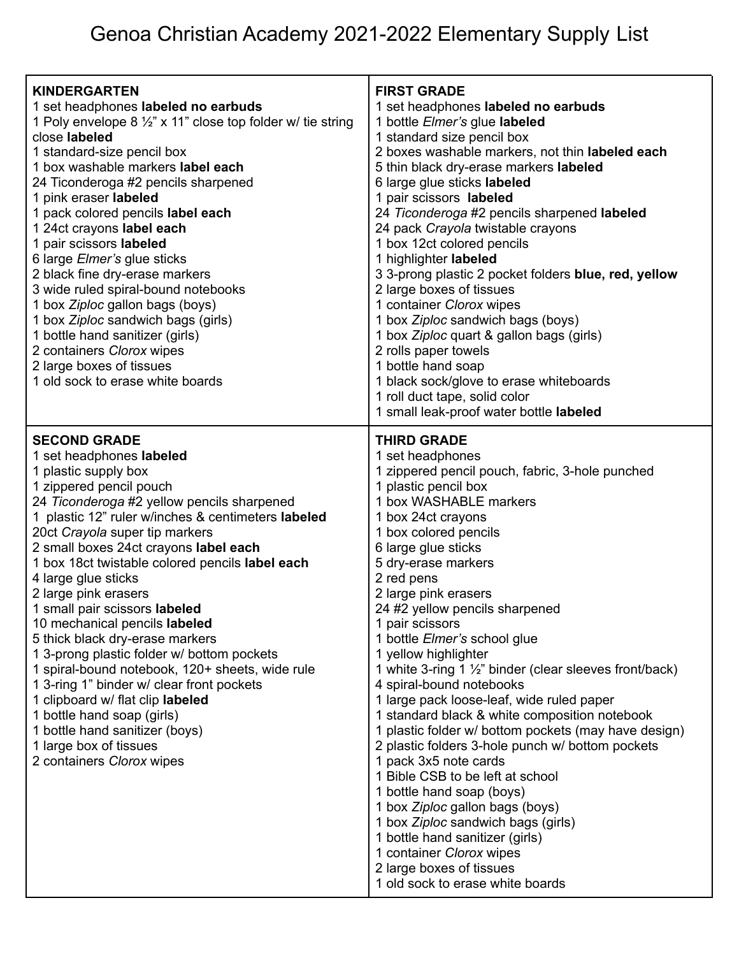| <b>KINDERGARTEN</b><br>1 set headphones labeled no earbuds<br>1 Poly envelope 8 $\frac{1}{2}$ " x 11" close top folder w/ tie string<br>close labeled<br>1 standard-size pencil box<br>1 box washable markers label each<br>24 Ticonderoga #2 pencils sharpened<br>1 pink eraser labeled<br>1 pack colored pencils label each<br>1 24ct crayons label each<br>1 pair scissors labeled<br>6 large <i>Elmer's</i> glue sticks<br>2 black fine dry-erase markers<br>3 wide ruled spiral-bound notebooks<br>1 box Ziploc gallon bags (boys)<br>1 box Ziploc sandwich bags (girls)<br>1 bottle hand sanitizer (girls)<br>2 containers Clorox wipes<br>2 large boxes of tissues<br>1 old sock to erase white boards                                                                                     | <b>FIRST GRADE</b><br>1 set headphones labeled no earbuds<br>1 bottle Elmer's glue labeled<br>1 standard size pencil box<br>2 boxes washable markers, not thin labeled each<br>5 thin black dry-erase markers labeled<br>6 large glue sticks labeled<br>1 pair scissors labeled<br>24 Ticonderoga #2 pencils sharpened labeled<br>24 pack Crayola twistable crayons<br>1 box 12ct colored pencils<br>1 highlighter labeled<br>3 3-prong plastic 2 pocket folders blue, red, yellow<br>2 large boxes of tissues<br>1 container Clorox wipes<br>1 box Ziploc sandwich bags (boys)<br>1 box Ziploc quart & gallon bags (girls)<br>2 rolls paper towels<br>1 bottle hand soap<br>1 black sock/glove to erase whiteboards<br>1 roll duct tape, solid color<br>1 small leak-proof water bottle labeled                                                                                                                                                                                               |
|---------------------------------------------------------------------------------------------------------------------------------------------------------------------------------------------------------------------------------------------------------------------------------------------------------------------------------------------------------------------------------------------------------------------------------------------------------------------------------------------------------------------------------------------------------------------------------------------------------------------------------------------------------------------------------------------------------------------------------------------------------------------------------------------------|------------------------------------------------------------------------------------------------------------------------------------------------------------------------------------------------------------------------------------------------------------------------------------------------------------------------------------------------------------------------------------------------------------------------------------------------------------------------------------------------------------------------------------------------------------------------------------------------------------------------------------------------------------------------------------------------------------------------------------------------------------------------------------------------------------------------------------------------------------------------------------------------------------------------------------------------------------------------------------------------|
| <b>SECOND GRADE</b><br>1 set headphones labeled<br>1 plastic supply box<br>1 zippered pencil pouch<br>24 Ticonderoga #2 yellow pencils sharpened<br>1 plastic 12" ruler w/inches & centimeters labeled<br>20ct Crayola super tip markers<br>2 small boxes 24ct crayons label each<br>1 box 18ct twistable colored pencils label each<br>4 large glue sticks<br>2 large pink erasers<br>1 small pair scissors labeled<br>10 mechanical pencils labeled<br>5 thick black dry-erase markers<br>1 3-prong plastic folder w/ bottom pockets<br>1 spiral-bound notebook, 120+ sheets, wide rule<br>1 3-ring 1" binder w/ clear front pockets<br>1 clipboard w/ flat clip labeled<br>1 bottle hand soap (girls)<br>1 bottle hand sanitizer (boys)<br>1 large box of tissues<br>2 containers Clorox wipes | <b>THIRD GRADE</b><br>1 set headphones<br>1 zippered pencil pouch, fabric, 3-hole punched<br>1 plastic pencil box<br>1 box WASHABLE markers<br>1 box 24ct crayons<br>1 box colored pencils<br>6 large glue sticks<br>5 dry-erase markers<br>2 red pens<br>2 large pink erasers<br>24 #2 yellow pencils sharpened<br>1 pair scissors<br>1 bottle Elmer's school glue<br>1 yellow highlighter<br>1 white 3-ring 1 1/2" binder (clear sleeves front/back)<br>4 spiral-bound notebooks<br>1 large pack loose-leaf, wide ruled paper<br>1 standard black & white composition notebook<br>1 plastic folder w/ bottom pockets (may have design)<br>2 plastic folders 3-hole punch w/ bottom pockets<br>1 pack 3x5 note cards<br>1 Bible CSB to be left at school<br>1 bottle hand soap (boys)<br>1 box Ziploc gallon bags (boys)<br>1 box Ziploc sandwich bags (girls)<br>1 bottle hand sanitizer (girls)<br>1 container Clorox wipes<br>2 large boxes of tissues<br>1 old sock to erase white boards |